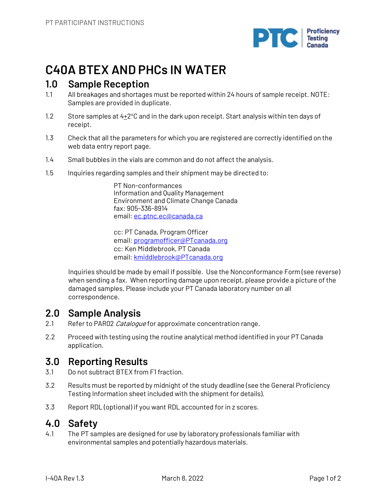

# **C40A BTEX AND PHCs IN WATER**

## **1.0 Sample Reception**

- 1.1 All breakages and shortages must be reported within 24 hours of sample receipt. NOTE: Samples are provided in duplicate.
- 1.2 Store samples at  $4\pm 2^{\circ}$ C and in the dark upon receipt. Start analysis within ten days of receipt.
- 1.3 Check that all the parameters for which you are registered are correctly identified on the web data entry report page.
- 1.4 Small bubbles in the vials are common and do not affect the analysis.
- 1.5 Inquiries regarding samples and their shipment may be directed to:

PT Non-conformances Information and Quality Management Environment and Climate Change Canada fax: 905-336-8914 email: ec.ptnc.ec@canada.ca

cc: PT Canada, Program Officer email: programofficer@PTcanada.org cc: Ken Middlebrook, PT Canada email: kmiddlebrook@PTcanada.org

Inquiries should be made by email if possible. Use the Nonconformance Form (see reverse) when sending a fax. When reporting damage upon receipt, please provide a picture of the damaged samples. Please include your PT Canada laboratory number on all correspondence.

## **2.0 Sample Analysis**

- 2.1 Refer to PAR02 Catalogue for approximate concentration range.
- 2.2 Proceed with testing using the routine analytical method identified in your PT Canada application.

# **3.0 Reporting Results**

- 3.1 Do not subtract BTEX from F1 fraction.
- 3.2 Results must be reported by midnight of the study deadline (see the General Proficiency Testing Information sheet included with the shipment for details).
- 3.3 Report RDL (optional) if you want RDL accounted for in z scores.

# **4.0 Safety**

4.1 The PT samples are designed for use by laboratory professionals familiar with environmental samples and potentially hazardous materials.